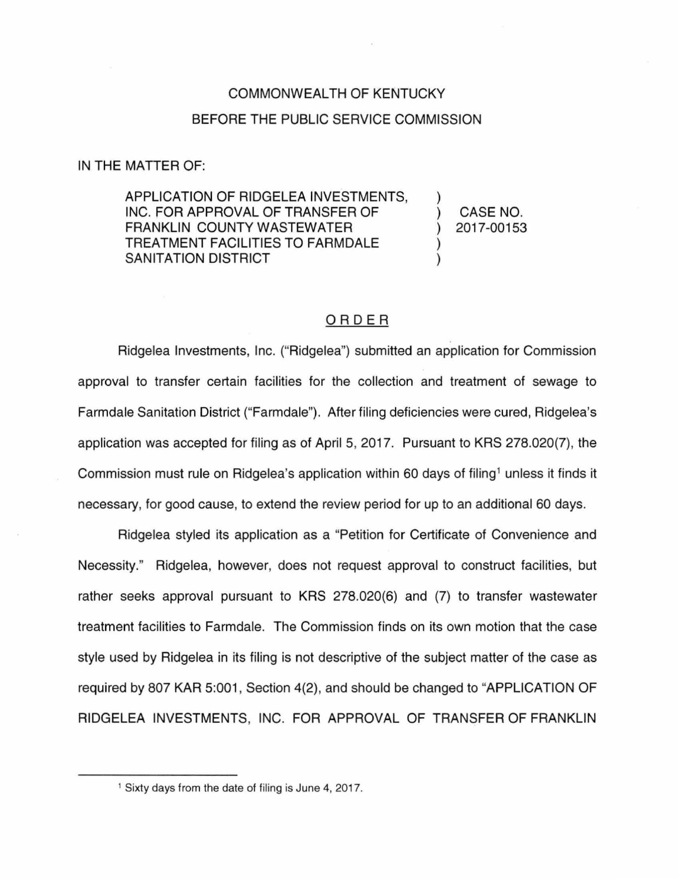# COMMONWEALTH OF KENTUCKY BEFORE THE PUBLIC SERVICE COMMISSION

#### IN THE MATTER OF:

APPLICATION OF RIDGELEA INVESTMENTS, INC. FOR APPROVAL OF TRANSFER OF FRANKLIN COUNTY WASTEWATER TREATMENT FACILITIES TO FARMDALE SANITATION DISTRICT

) CASE NO. ) 2017-00153

)

) )

## ORDER

Ridgelea Investments, Inc. ("Ridgelea") submitted an application for Commission approval to transfer certain facilities for the collection and treatment of sewage to Farmdale Sanitation District ("Farmdale"). After filing deficiencies were cured, Ridgelea's application was accepted for filing as of April 5, 2017. Pursuant to KRS 278.020(7), the Commission must rule on Ridgelea's application within 60 days of filing<sup>1</sup> unless it finds it necessary, for good cause, to extend the review period for up to an additional 60 days.

Ridgelea styled its application as a "Petition for Certificate of Convenience and Necessity." Ridgelea, however, does not request approval to construct facilities, but rather seeks approval pursuant to KRS 278.020(6) and (7) to transfer wastewater treatment facilities to Farmdale. The Commission finds on its own motion that the case style used by Ridgelea in its filing is not descriptive of the subject matter of the case as required by 807 KAR 5:001, Section 4(2), and should be changed to "APPLICATION OF RIDGELEA INVESTMENTS, INC. FOR APPROVAL OF TRANSFER OF FRANKLIN

<sup>&</sup>lt;sup>1</sup> Sixty days from the date of filing is June 4, 2017.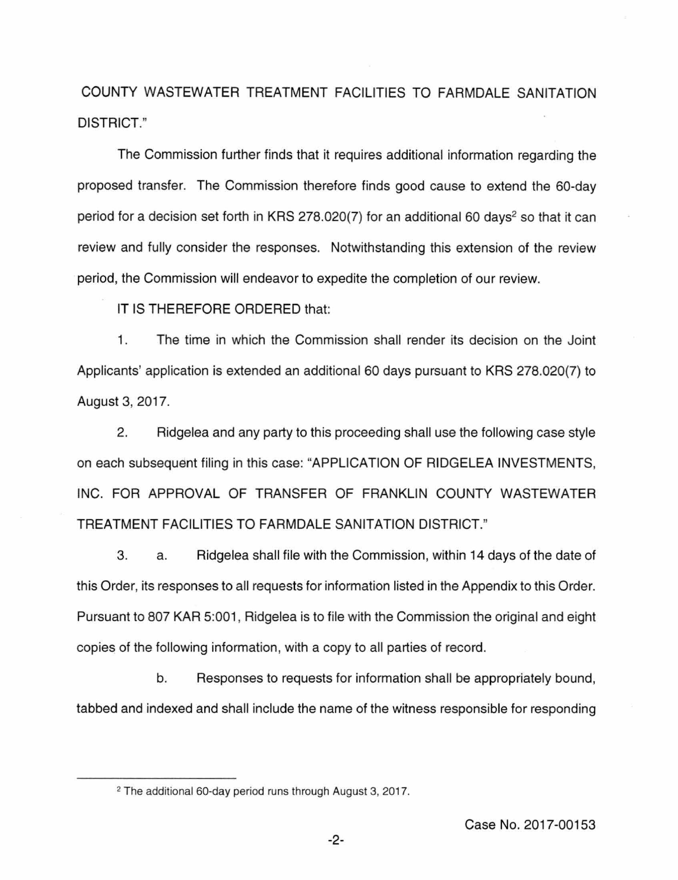COUNTY WASTEWATER TREATMENT FACILITIES TO FARMDALE SANITATION DISTRICT."

The Commission further finds that it requires additional information regarding the proposed transfer. The Commission therefore finds good cause to extend the 60-day period for a decision set forth in KRS 278.020(7) for an additional 60 days<sup>2</sup> so that it can review and fully consider the responses. Notwithstanding this extension of the review period, the Commission will endeavor to expedite the completion of our review.

IT IS THEREFORE ORDERED that:

1. The time in which the Commission shall render its decision on the Joint Applicants' application is extended an additional 60 days pursuant to KRS 278.020(7) to August 3, 2017.

2. Ridgelea and any party to this proceeding shall use the following case style on each subsequent filing in this case: "APPLICATION OF RIDGELEA INVESTMENTS, INC. FOR APPROVAL OF TRANSFER OF FRANKLIN COUNTY WASTEWATER TREATMENT FACILITIES TO FARMDALE SANITATION DISTRICT."

3. a. Ridgelea shall file with the Commission, within 14 days of the date of this Order, its responses to all requests for information listed in the Appendix to this Order. Pursuant to 807 KAR 5:001, Ridgelea is to file with the Commission the original and eight copies of the following information, with a copy to all parties of record.

b. Responses to requests for information shall be appropriately bound, tabbed and indexed and shall include the name of the witness responsible for responding

<sup>2</sup>The additional 60-day period runs through August 3, 2017.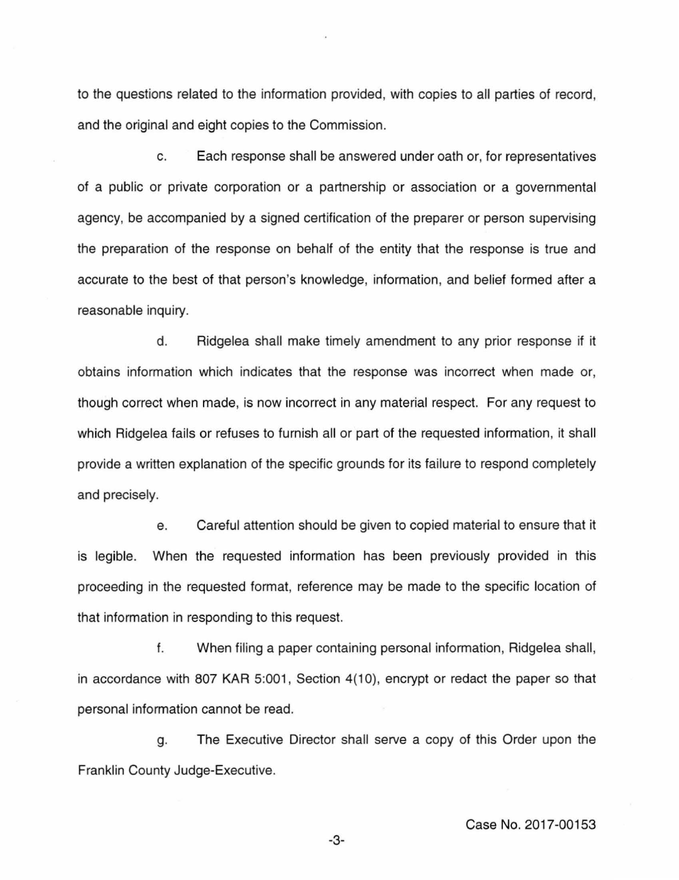to the questions related to the information provided, with copies to all parties of record, and the original and eight copies to the Commission.

c. Each response shall be answered under oath or, for representatives of a public or private corporation or a partnership or association or a governmental agency, be accompanied by a signed certification of the preparer or person supervising the preparation of the response on behalf of the entity that the response is true and accurate to the best of that person's knowledge, information, and belief formed after a reasonable inquiry.

d. Ridgelea shall make timely amendment to any prior response if it obtains information which indicates that the response was incorrect when made or, though correct when made, is now incorrect in any material respect. For any request to which Ridgelea fails or refuses to furnish all or part of the requested information, it shall provide a written explanation of the specific grounds for its failure to respond completely and precisely.

e. Careful attention should be given to copied material to ensure that it is legible. When the requested information has been previously provided in this proceeding in the requested format, reference may be made to the specific location of that information in responding to this request.

f. When filing a paper containing personal information, Ridgelea shall, in accordance with 807 KAR 5:001, Section 4(10), encrypt or redact the paper so that personal information cannot be read.

g. The Executive Director shall serve a copy of this Order upon the Franklin County Judge-Executive.

-3-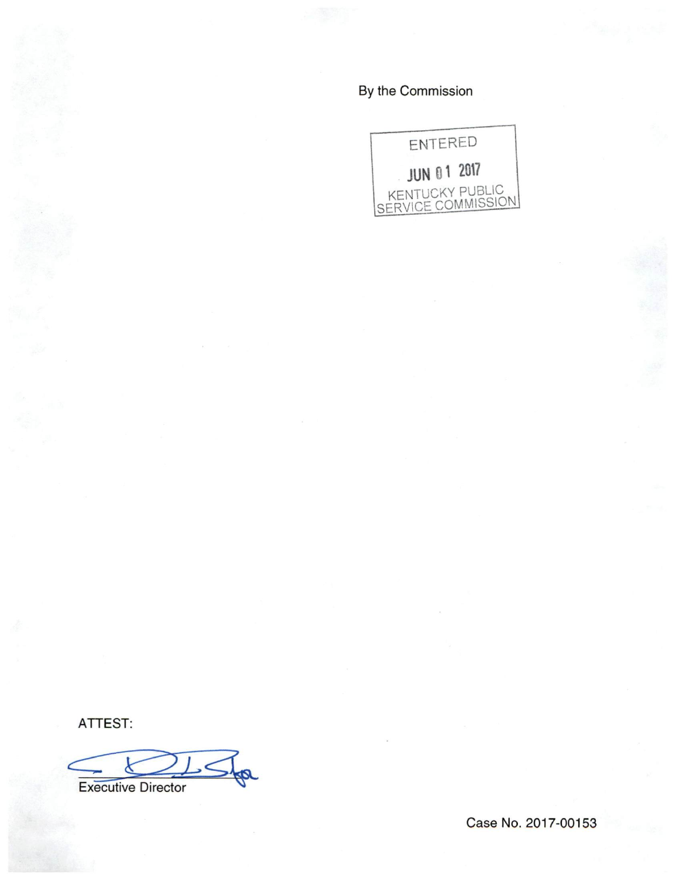By the Commission



ATTEST:

k Executive Director

Case No. 2017-00153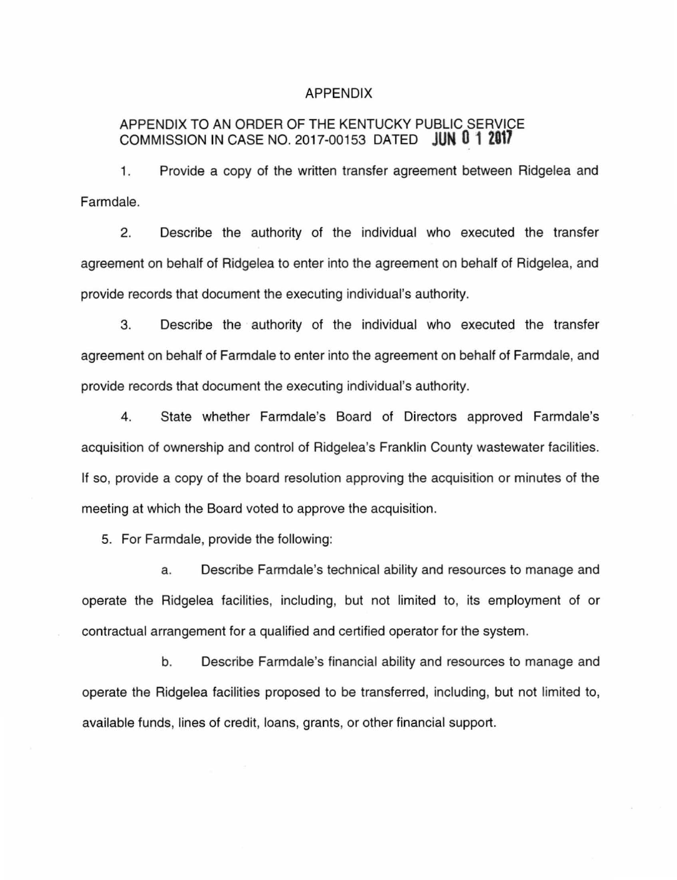### APPENDIX

# APPENDIX TO AN ORDER OF THE KENTUCKY PUBLIC SERVICE COMMISSION IN CASE NO. 2017-00153 DATED **JUN 0 1 2017**

1. Provide a copy of the written transfer agreement between Ridgelea and Farmdale.

2. Describe the authority of the individual who executed the transfer agreement on behalf of Ridgelea to enter into the agreement on behalf of Ridgelea, and provide records that document the executing individual's authority.

3. Describe the authority of the individual who executed the transfer agreement on behalf of Farmdale to enter into the agreement on behalf of Farmdale, and provide records that document the executing individual's authority.

4. State whether Farmdale's Board of Directors approved Farmdale's acquisition of ownership and control of Ridgelea's Franklin County wastewater facilities. If so, provide a copy of the board resolution approving the acquisition or minutes of the meeting at which the Board voted to approve the acquisition.

5. For Farmdale, provide the following:

a. Describe Farmdale's technical ability and resources to manage and operate the Ridgelea facilities, including, but not limited to, its employment of or contractual arrangement for a qualified and certified operator for the system.

b. Describe Farmdale's financial ability and resources to manage and operate the Ridgelea facilities proposed to be transferred, including, but not limited to, available funds, lines of credit, loans, grants, or other financial support.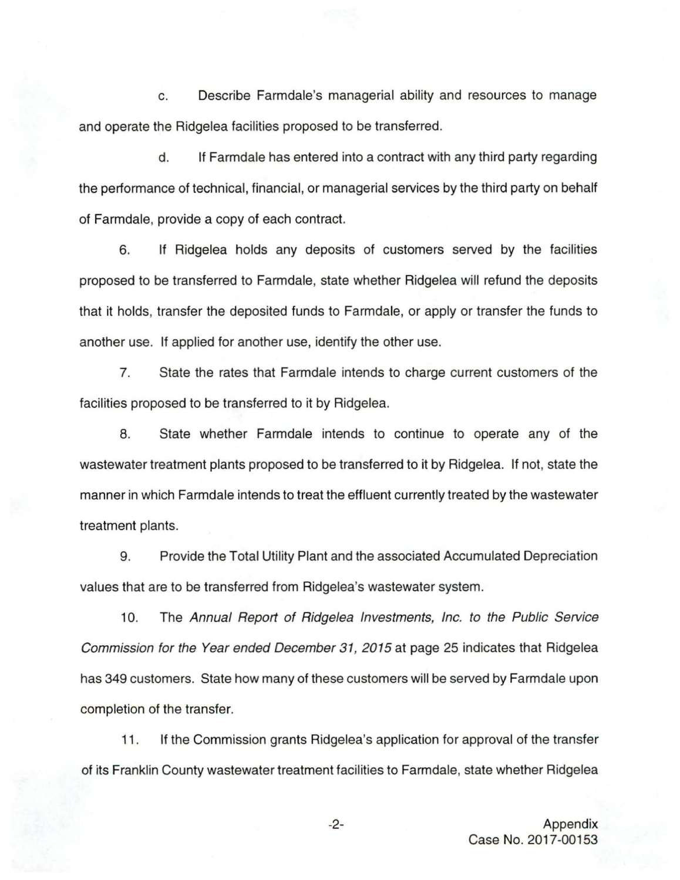c. Describe Farmdale's managerial ability and resources to manage and operate the Ridgelea facilities proposed to be transferred.

d. If Farmdale has entered into a contract with any third party regarding the performance of technical, financial, or managerial services by the third party on behalf of Farmdale, provide a copy of each contract.

6. If Ridgelea holds any deposits of customers served by the facilities proposed to be transferred to Farmdale, state whether Ridgelea will refund the deposits that it holds, transfer the deposited funds to Farmdale, or apply or transfer the funds to another use. If applied for another use, identify the other use.

7. State the rates that Farmdale intends to charge current customers of the facilities proposed to be transferred to it by Ridgelea.

8. State whether Farmdale intends to continue to operate any of the wastewater treatment plants proposed to be transferred to it by Ridgelea. If not, state the manner in which Farmdale intends to treat the effluent currently treated by the wastewater treatment plants.

9. Provide the Total Utility Plant and the associated Accumulated Depreciation values that are to be transferred from Ridgelea's wastewater system.

10. The Annual Report of Ridgelea Investments, Inc. to the Public Service Commission for the Year ended December 31, 2015 at page 25 indicates that Ridgelea has 349 customers. State how many of these customers will be served by Farmdale upon completion of the transfer.

11. If the Commission grants Ridgelea's application for approval of the transfer of its Franklin County wastewater treatment facilities to Farmdale, state whether Ridgelea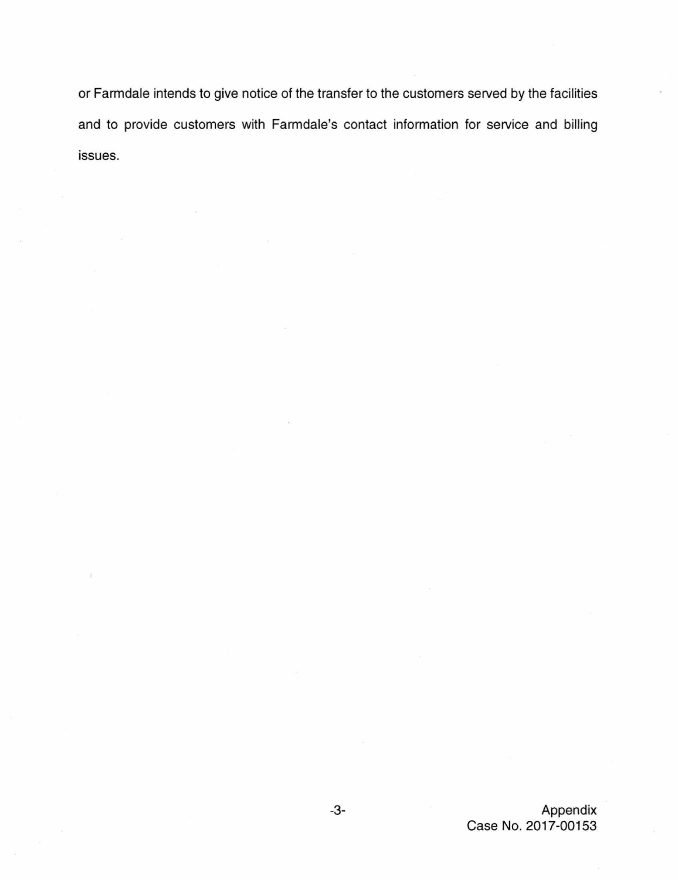or Farmdale intends to give notice of the transfer to the customers served by the facilities and to provide customers with Farmdale's contact information for service and billing issues.